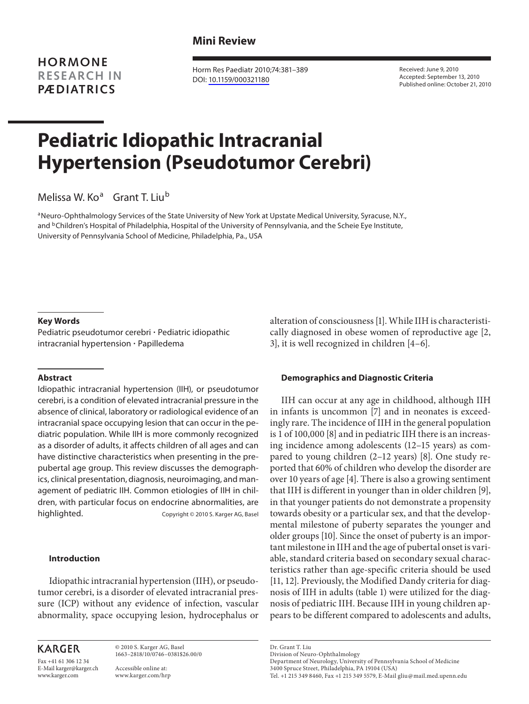**HORMONE RESEARCH IN PÆDIATRICS**

 Horm Res Paediatr 2010;74:381–389 DOI: [10.1159/000321180](http://dx.doi.org/10.1159%2F000321180)

 Received: June 9, 2010 Accepted: September 13, 2010 Published online: October 21, 2010

# **Pediatric Idiopathic Intracranial Hypertension (Pseudotumor Cerebri)**

Melissa W. Ko<sup>a</sup> Grant T. Liu<sup>b</sup>

<sup>a</sup> Neuro-Ophthalmology Services of the State University of New York at Upstate Medical University, Syracuse, N.Y., and <sup>b</sup> Children's Hospital of Philadelphia, Hospital of the University of Pennsylvania, and the Scheie Eye Institute, University of Pennsylvania School of Medicine, Philadelphia, Pa. , USA

### **Key Words**

 Pediatric pseudotumor cerebri - Pediatric idiopathic intracranial hypertension - Papilledema

#### **Abstract**

 Idiopathic intracranial hypertension (IIH), or pseudotumor cerebri, is a condition of elevated intracranial pressure in the absence of clinical, laboratory or radiological evidence of an intracranial space occupying lesion that can occur in the pediatric population. While IIH is more commonly recognized as a disorder of adults, it affects children of all ages and can have distinctive characteristics when presenting in the prepubertal age group. This review discusses the demographics, clinical presentation, diagnosis, neuroimaging, and management of pediatric IIH. Common etiologies of IIH in children, with particular focus on endocrine abnormalities, are highlighted. Copyright © 2010 S. Karger AG, Basel

## **Introduction**

 Idiopathic intracranial hypertension (IIH), or pseudotumor cerebri, is a disorder of elevated intracranial pressure (ICP) without any evidence of infection, vascular abnormality, space occupying lesion, hydrocephalus or

# **KARGER**

Fax +41 61 306 12 34 E-Mail karger@karger.ch www.karger.com

 © 2010 S. Karger AG, Basel 1663–2818/10/0746–0381\$26.00/0 Accessible online at:

www.karger.com/hrp

alteration of consciousness [1] . While IIH is characteristically diagnosed in obese women of reproductive age [2, 3], it is well recognized in children  $[4-6]$ .

#### **Demographics and Diagnostic Criteria**

 IIH can occur at any age in childhood, although IIH in infants is uncommon [7] and in neonates is exceedingly rare. The incidence of IIH in the general population is 1 of 100,000 [8] and in pediatric IIH there is an increasing incidence among adolescents (12–15 years) as compared to young children  $(2-12 \text{ years})$  [8]. One study reported that 60% of children who develop the disorder are over 10 years of age [4] . There is also a growing sentiment that IIH is different in younger than in older children [9], in that younger patients do not demonstrate a propensity towards obesity or a particular sex, and that the developmental milestone of puberty separates the younger and older groups [10]. Since the onset of puberty is an important milestone in IIH and the age of pubertal onset is variable, standard criteria based on secondary sexual characteristics rather than age-specific criteria should be used [11, 12]. Previously, the Modified Dandy criteria for diagnosis of IIH in adults (table 1) were utilized for the diagnosis of pediatric IIH. Because IIH in young children appears to be different compared to adolescents and adults,

Dr. Grant T. Liu Division of Neuro-Ophthalmology

Department of Neurology, University of Pennsylvania School of Medicine 3400 Spruce Street, Philadelphia, PA 19104 (USA)

Tel. +1 215 349 8460, Fax +1 215 349 5579, E-Mail gliu @ mail.med.upenn.edu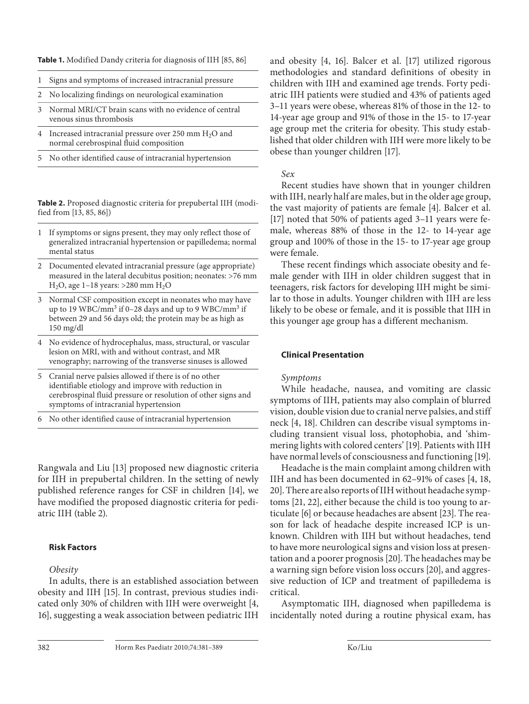**Table 1.** Modified Dandy criteria for diagnosis of IIH [85, 86]

- 1 Signs and symptoms of increased intracranial pressure
- 2 No localizing findings on neurological examination
- 3 Normal MRI/CT brain scans with no evidence of central venous sinus thrombosis
- 4 Increased intracranial pressure over 250 mm H<sub>2</sub>O and normal cerebrospinal fluid composition
- 5 No other identified cause of intracranial hypertension

**Table 2.** Proposed diagnostic criteria for prepubertal IIH (modified from [13, 85, 86])

- 1 If symptoms or signs present, they may only reflect those of generalized intracranial hypertension or papilledema; normal mental status
- 2 Documented elevated intracranial pressure (age appropriate) measured in the lateral decubitus position; neonates: >76 mm H<sub>2</sub>O, age 1–18 years: >280 mm H<sub>2</sub>O
- 3 Normal CSF composition except in neonates who may have up to 19 WBC/mm<sup>3</sup> if 0–28 days and up to 9 WBC/mm<sup>3</sup> if between 29 and 56 days old; the protein may be as high as 150 mg/dl
- 4 No evidence of hydrocephalus, mass, structural, or vascular lesion on MRI, with and without contrast, and MR venography; narrowing of the transverse sinuses is allowed
- 5 Cranial nerve palsies allowed if there is of no other identifiable etiology and improve with reduction in cerebrospinal fluid pressure or resolution of other signs and symptoms of intracranial hypertension
- 6 No other identified cause of intracranial hypertension

Rangwala and Liu [13] proposed new diagnostic criteria for IIH in prepubertal children. In the setting of newly published reference ranges for CSF in children [14], we have modified the proposed diagnostic criteria for pediatric IIH (table 2).

# **Risk Factors**

# *Obesity*

 In adults, there is an established association between obesity and IIH [15]. In contrast, previous studies indicated only 30% of children with IIH were overweight [4, 16], suggesting a weak association between pediatric IIH

and obesity [4, 16]. Balcer et al. [17] utilized rigorous methodologies and standard definitions of obesity in children with IIH and examined age trends. Forty pediatric IIH patients were studied and 43% of patients aged 3–11 years were obese, whereas 81% of those in the 12- to 14-year age group and 91% of those in the 15- to 17-year age group met the criteria for obesity. This study established that older children with IIH were more likely to be obese than younger children [17] .

# *Sex*

 Recent studies have shown that in younger children with IIH, nearly half are males, but in the older age group, the vast majority of patients are female [4]. Balcer et al. [17] noted that 50% of patients aged 3–11 years were female, whereas 88% of those in the 12- to 14-year age group and 100% of those in the 15- to 17-year age group were female.

 These recent findings which associate obesity and female gender with IIH in older children suggest that in teenagers, risk factors for developing IIH might be similar to those in adults. Younger children with IIH are less likely to be obese or female, and it is possible that IIH in this younger age group has a different mechanism.

# **Clinical Presentation**

# *Symptoms*

 While headache, nausea, and vomiting are classic symptoms of IIH, patients may also complain of blurred vision, double vision due to cranial nerve palsies, and stiff neck [4, 18]. Children can describe visual symptoms including transient visual loss, photophobia, and 'shimmering lights with colored centers' [19] . Patients with IIH have normal levels of consciousness and functioning [19].

 Headache is the main complaint among children with IIH and has been documented in 62–91% of cases [4, 18, 20]. There are also reports of IIH without headache symptoms [21, 22] , either because the child is too young to articulate [6] or because headaches are absent [23] . The reason for lack of headache despite increased ICP is unknown. Children with IIH but without headaches, tend to have more neurological signs and vision loss at presentation and a poorer prognosis [20] . The headaches may be a warning sign before vision loss occurs [20], and aggressive reduction of ICP and treatment of papilledema is critical.

 Asymptomatic IIH, diagnosed when papilledema is incidentally noted during a routine physical exam, has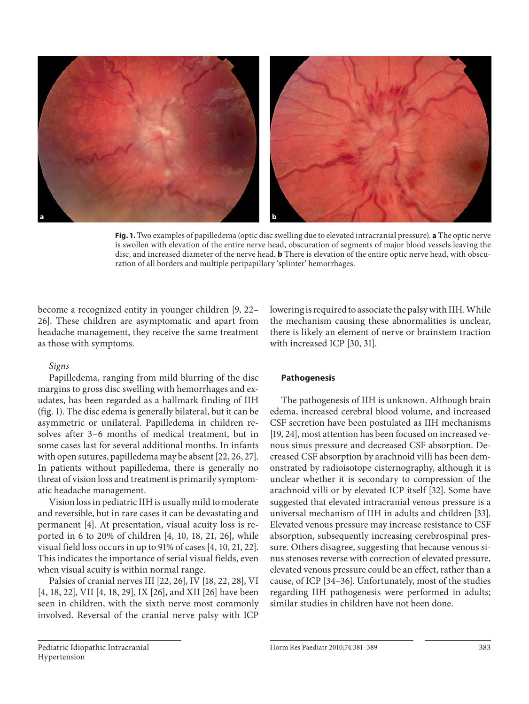

**Fig. 1.** Two examples of papilledema (optic disc swelling due to elevated intracranial pressure). **a** The optic nerve is swollen with elevation of the entire nerve head, obscuration of segments of major blood vessels leaving the disc, and increased diameter of the nerve head. **b** There is elevation of the entire optic nerve head, with obscuration of all borders and multiple peripapillary 'splinter' hemorrhages.

become a recognized entity in younger children [9, 22– 26]. These children are asymptomatic and apart from headache management, they receive the same treatment as those with symptoms.

# *Signs*

 Papilledema, ranging from mild blurring of the disc margins to gross disc swelling with hemorrhages and exudates, has been regarded as a hallmark finding of IIH (fig. 1). The disc edema is generally bilateral, but it can be asymmetric or unilateral. Papilledema in children resolves after 3–6 months of medical treatment, but in some cases last for several additional months. In infants with open sutures, papilledema may be absent [22, 26, 27] . In patients without papilledema, there is generally no threat of vision loss and treatment is primarily symptomatic headache management.

 Vision loss in pediatric IIH is usually mild to moderate and reversible, but in rare cases it can be devastating and permanent [4]. At presentation, visual acuity loss is reported in 6 to 20% of children [4, 10, 18, 21, 26], while visual field loss occurs in up to 91% of cases [4, 10, 21, 22] . This indicates the importance of serial visual fields, even when visual acuity is within normal range.

Palsies of cranial nerves III [22, 26], IV [18, 22, 28], VI [4, 18, 22], VII [4, 18, 29], IX [26], and XII [26] have been seen in children, with the sixth nerve most commonly involved. Reversal of the cranial nerve palsy with ICP

lowering is required to associate the palsy with IIH. While the mechanism causing these abnormalities is unclear, there is likely an element of nerve or brainstem traction with increased ICP [30, 31].

## **Pathogenesis**

 The pathogenesis of IIH is unknown. Although brain edema, increased cerebral blood volume, and increased CSF secretion have been postulated as IIH mechanisms [19, 24], most attention has been focused on increased venous sinus pressure and decreased CSF absorption. Decreased CSF absorption by arachnoid villi has been demonstrated by radioisotope cisternography, although it is unclear whether it is secondary to compression of the arachnoid villi or by elevated ICP itself [32]. Some have suggested that elevated intracranial venous pressure is a universal mechanism of IIH in adults and children [33] . Elevated venous pressure may increase resistance to CSF absorption, subsequently increasing cerebrospinal pressure. Others disagree, suggesting that because venous sinus stenoses reverse with correction of elevated pressure, elevated venous pressure could be an effect, rather than a cause, of ICP [34-36]. Unfortunately, most of the studies regarding IIH pathogenesis were performed in adults; similar studies in children have not been done.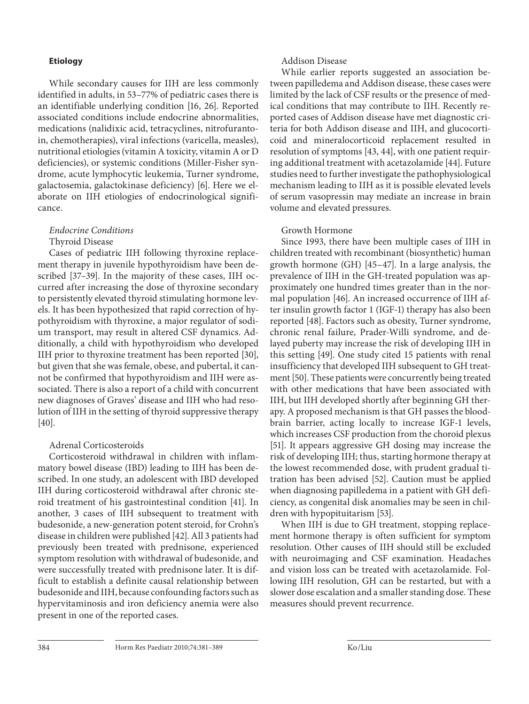## **Etiology**

 While secondary causes for IIH are less commonly identified in adults, in 53–77% of pediatric cases there is an identifiable underlying condition [16, 26]. Reported associated conditions include endocrine abnormalities, medications (nalidixic acid, tetracyclines, nitrofurantoin, chemotherapies), viral infections (varicella, measles), nutritional etiologies (vitamin A toxicity, vitamin A or D deficiencies), or systemic conditions (Miller-Fisher syndrome, acute lymphocytic leukemia, Turner syndrome, galactosemia, galactokinase deficiency) [6]. Here we elaborate on IIH etiologies of endocrinological significance.

# *Endocrine Conditions*  Thyroid Disease

 Cases of pediatric IIH following thyroxine replacement therapy in juvenile hypothyroidism have been described [37-39]. In the majority of these cases, IIH occurred after increasing the dose of thyroxine secondary to persistently elevated thyroid stimulating hormone levels. It has been hypothesized that rapid correction of hypothyroidism with thyroxine, a major regulator of sodium transport, may result in altered CSF dynamics. Additionally, a child with hypothyroidism who developed IIH prior to thyroxine treatment has been reported [30], but given that she was female, obese, and pubertal, it cannot be confirmed that hypothyroidism and IIH were associated. There is also a report of a child with concurrent new diagnoses of Graves' disease and IIH who had resolution of IIH in the setting of thyroid suppressive therapy  $[40]$ .

# Adrenal Corticosteroids

 Corticosteroid withdrawal in children with inflammatory bowel disease (IBD) leading to IIH has been described. In one study, an adolescent with IBD developed IIH during corticosteroid withdrawal after chronic steroid treatment of his gastrointestinal condition [41]. In another, 3 cases of IIH subsequent to treatment with budesonide, a new-generation potent steroid, for Crohn's disease in children were published [42] . All 3 patients had previously been treated with prednisone, experienced symptom resolution with withdrawal of budesonide, and were successfully treated with prednisone later. It is difficult to establish a definite causal relationship between budesonide and IIH, because confounding factors such as hypervitaminosis and iron deficiency anemia were also present in one of the reported cases.

# Addison Disease

 While earlier reports suggested an association between papilledema and Addison disease, these cases were limited by the lack of CSF results or the presence of medical conditions that may contribute to IIH. Recently reported cases of Addison disease have met diagnostic criteria for both Addison disease and IIH, and glucocorticoid and mineralocorticoid replacement resulted in resolution of symptoms [43, 44], with one patient requiring additional treatment with acetazolamide [44] . Future studies need to further investigate the pathophysiological mechanism leading to IIH as it is possible elevated levels of serum vasopressin may mediate an increase in brain volume and elevated pressures.

# Growth Hormone

 Since 1993, there have been multiple cases of IIH in children treated with recombinant (biosynthetic) human growth hormone (GH)  $[45-47]$ . In a large analysis, the prevalence of IIH in the GH-treated population was approximately one hundred times greater than in the normal population [46]. An increased occurrence of IIH after insulin growth factor 1 (IGF-1) therapy has also been reported [48]. Factors such as obesity, Turner syndrome, chronic renal failure, Prader-Willi syndrome, and delayed puberty may increase the risk of developing IIH in this setting [49]. One study cited 15 patients with renal insufficiency that developed IIH subsequent to GH treatment [50]. These patients were concurrently being treated with other medications that have been associated with IIH, but IIH developed shortly after beginning GH therapy. A proposed mechanism is that GH passes the bloodbrain barrier, acting locally to increase IGF-1 levels, which increases CSF production from the choroid plexus [51]. It appears aggressive GH dosing may increase the risk of developing IIH; thus, starting hormone therapy at the lowest recommended dose, with prudent gradual titration has been advised [52]. Caution must be applied when diagnosing papilledema in a patient with GH deficiency, as congenital disk anomalies may be seen in children with hypopituitarism [53].

 When IIH is due to GH treatment, stopping replacement hormone therapy is often sufficient for symptom resolution. Other causes of IIH should still be excluded with neuroimaging and CSF examination. Headaches and vision loss can be treated with acetazolamide. Following IIH resolution, GH can be restarted, but with a slower dose escalation and a smaller standing dose. These measures should prevent recurrence.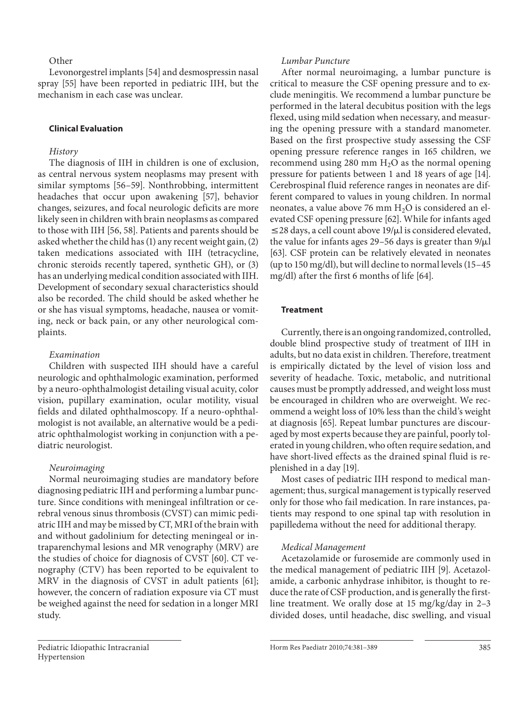# **Other**

 Levonorgestrel implants [54] and desmospressin nasal spray [55] have been reported in pediatric IIH, but the mechanism in each case was unclear.

## **Clinical Evaluation**

## *History*

 The diagnosis of IIH in children is one of exclusion, as central nervous system neoplasms may present with similar symptoms [56–59]. Nonthrobbing, intermittent headaches that occur upon awakening [57], behavior changes, seizures, and focal neurologic deficits are more likely seen in children with brain neoplasms as compared to those with IIH [56, 58]. Patients and parents should be asked whether the child has (1) any recent weight gain, (2) taken medications associated with IIH (tetracycline, chronic steroids recently tapered, synthetic GH), or (3) has an underlying medical condition associated with IIH. Development of secondary sexual characteristics should also be recorded. The child should be asked whether he or she has visual symptoms, headache, nausea or vomiting, neck or back pain, or any other neurological complaints.

## *Examination*

 Children with suspected IIH should have a careful neurologic and ophthalmologic examination, performed by a neuro-ophthalmologist detailing visual acuity, color vision, pupillary examination, ocular motility, visual fields and dilated ophthalmoscopy. If a neuro-ophthalmologist is not available, an alternative would be a pediatric ophthalmologist working in conjunction with a pediatric neurologist.

## *Neuroimaging*

 Normal neuroimaging studies are mandatory before diagnosing pediatric IIH and performing a lumbar puncture. Since conditions with meningeal infiltration or cerebral venous sinus thrombosis (CVST) can mimic pediatric IIH and may be missed by CT, MRI of the brain with and without gadolinium for detecting meningeal or intraparenchymal lesions and MR venography (MRV) are the studies of choice for diagnosis of CVST [60]. CT venography (CTV) has been reported to be equivalent to MRV in the diagnosis of CVST in adult patients [61]; however, the concern of radiation exposure via CT must be weighed against the need for sedation in a longer MRI study.

# *Lumbar Puncture*

 After normal neuroimaging, a lumbar puncture is critical to measure the CSF opening pressure and to exclude meningitis. We recommend a lumbar puncture be performed in the lateral decubitus position with the legs flexed, using mild sedation when necessary, and measuring the opening pressure with a standard manometer. Based on the first prospective study assessing the CSF opening pressure reference ranges in 165 children, we recommend using 280 mm  $H<sub>2</sub>O$  as the normal opening pressure for patients between 1 and 18 years of age [14] . Cerebrospinal fluid reference ranges in neonates are different compared to values in young children. In normal neonates, a value above 76 mm  $H_2O$  is considered an elevated CSF opening pressure [62] . While for infants aged  $\leq$  28 days, a cell count above 19/ $\mu$ l is considered elevated, the value for infants ages 29-56 days is greater than  $9/\mu l$ [63]. CSF protein can be relatively elevated in neonates (up to 150 mg/dl), but will decline to normal levels (15–45 mg/dl) after the first 6 months of life [64] .

#### **Treatment**

 Currently, there is an ongoing randomized, controlled, double blind prospective study of treatment of IIH in adults, but no data exist in children. Therefore, treatment is empirically dictated by the level of vision loss and severity of headache. Toxic, metabolic, and nutritional causes must be promptly addressed, and weight loss must be encouraged in children who are overweight. We recommend a weight loss of 10% less than the child's weight at diagnosis [65]. Repeat lumbar punctures are discouraged by most experts because they are painful, poorly tolerated in young children, who often require sedation, and have short-lived effects as the drained spinal fluid is replenished in a day [19].

 Most cases of pediatric IIH respond to medical management; thus, surgical management is typically reserved only for those who fail medication. In rare instances, patients may respond to one spinal tap with resolution in papilledema without the need for additional therapy.

## *Medical Management*

 Acetazolamide or furosemide are commonly used in the medical management of pediatric IIH [9]. Acetazolamide, a carbonic anhydrase inhibitor, is thought to reduce the rate of CSF production, and is generally the firstline treatment. We orally dose at 15 mg/kg/day in 2–3 divided doses, until headache, disc swelling, and visual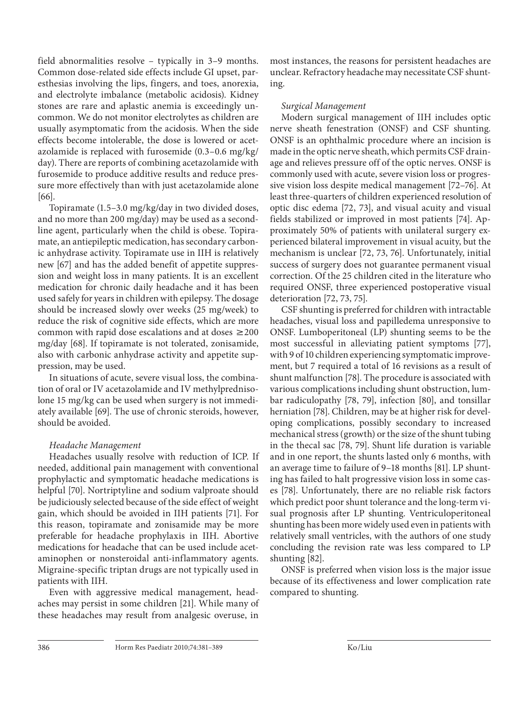field abnormalities resolve – typically in 3–9 months. Common dose-related side effects include GI upset, paresthesias involving the lips, fingers, and toes, anorexia, and electrolyte imbalance (metabolic acidosis). Kidney stones are rare and aplastic anemia is exceedingly uncommon. We do not monitor electrolytes as children are usually asymptomatic from the acidosis. When the side effects become intolerable, the dose is lowered or acetazolamide is replaced with furosemide (0.3–0.6 mg/kg/ day). There are reports of combining acetazolamide with furosemide to produce additive results and reduce pressure more effectively than with just acetazolamide alone [66]

 Topiramate (1.5–3.0 mg/kg/day in two divided doses, and no more than 200 mg/day) may be used as a secondline agent, particularly when the child is obese. Topiramate, an antiepileptic medication, has secondary carbonic anhydrase activity. Topiramate use in IIH is relatively new [67] and has the added benefit of appetite suppression and weight loss in many patients. It is an excellent medication for chronic daily headache and it has been used safely for years in children with epilepsy. The dosage should be increased slowly over weeks (25 mg/week) to reduce the risk of cognitive side effects, which are more common with rapid dose escalations and at doses  $\geq$  200 mg/day [68]. If topiramate is not tolerated, zonisamide, also with carbonic anhydrase activity and appetite suppression, may be used.

 In situations of acute, severe visual loss, the combination of oral or IV acetazolamide and IV methylprednisolone 15 mg/kg can be used when surgery is not immediately available [69]. The use of chronic steroids, however, should be avoided.

# *Headache Management*

 Headaches usually resolve with reduction of ICP. If needed, additional pain management with conventional prophylactic and symptomatic headache medications is helpful [70]. Nortriptyline and sodium valproate should be judiciously selected because of the side effect of weight gain, which should be avoided in IIH patients [71]. For this reason, topiramate and zonisamide may be more preferable for headache prophylaxis in IIH. Abortive medications for headache that can be used include acetaminophen or nonsteroidal anti-inflammatory agents. Migraine-specific triptan drugs are not typically used in patients with IIH.

 Even with aggressive medical management, headaches may persist in some children [21]. While many of these headaches may result from analgesic overuse, in

most instances, the reasons for persistent headaches are unclear. Refractory headache may necessitate CSF shunting.

# *Surgical Management*

 Modern surgical management of IIH includes optic nerve sheath fenestration (ONSF) and CSF shunting. ONSF is an ophthalmic procedure where an incision is made in the optic nerve sheath, which permits CSF drainage and relieves pressure off of the optic nerves. ONSF is commonly used with acute, severe vision loss or progressive vision loss despite medical management [72–76] . At least three-quarters of children experienced resolution of optic disc edema [72, 73], and visual acuity and visual fields stabilized or improved in most patients [74]. Approximately 50% of patients with unilateral surgery experienced bilateral improvement in visual acuity, but the mechanism is unclear [72, 73, 76]. Unfortunately, initial success of surgery does not guarantee permanent visual correction. Of the 25 children cited in the literature who required ONSF, three experienced postoperative visual deterioration [72, 73, 75].

 CSF shunting is preferred for children with intractable headaches, visual loss and papilledema unresponsive to ONSF. Lumboperitoneal (LP) shunting seems to be the most successful in alleviating patient symptoms [77], with 9 of 10 children experiencing symptomatic improvement, but 7 required a total of 16 revisions as a result of shunt malfunction [78]. The procedure is associated with various complications including shunt obstruction, lumbar radiculopathy [78, 79], infection [80], and tonsillar herniation [78]. Children, may be at higher risk for developing complications, possibly secondary to increased mechanical stress (growth) or the size of the shunt tubing in the thecal sac [78, 79]. Shunt life duration is variable and in one report, the shunts lasted only 6 months, with an average time to failure of 9-18 months [81]. LP shunting has failed to halt progressive vision loss in some cases [78]. Unfortunately, there are no reliable risk factors which predict poor shunt tolerance and the long-term visual prognosis after LP shunting. Ventriculoperitoneal shunting has been more widely used even in patients with relatively small ventricles, with the authors of one study concluding the revision rate was less compared to LP shunting [82].

 ONSF is preferred when vision loss is the major issue because of its effectiveness and lower complication rate compared to shunting.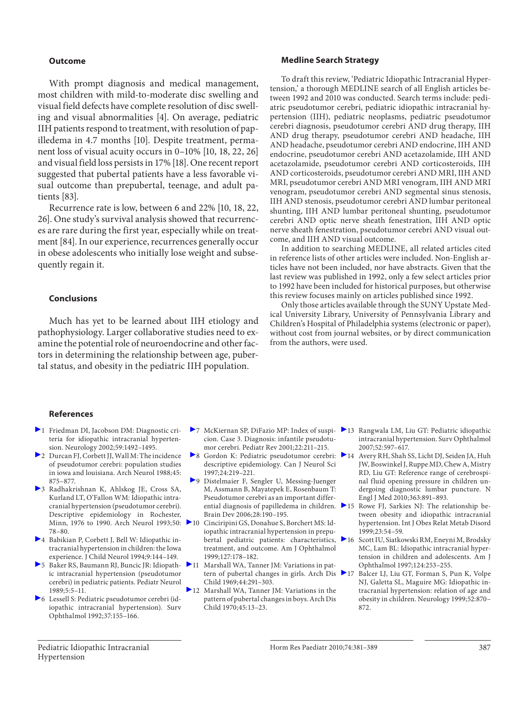#### **Outcome**

 With prompt diagnosis and medical management, most children with mild-to-moderate disc swelling and visual field defects have complete resolution of disc swelling and visual abnormalities [4]. On average, pediatric IIH patients respond to treatment, with resolution of papilledema in 4.7 months [10]. Despite treatment, permanent loss of visual acuity occurs in 0–10% [10, 18, 22, 26] and visual field loss persists in 17% [18] . One recent report suggested that pubertal patients have a less favorable visual outcome than prepubertal, teenage, and adult patients [83] .

 Recurrence rate is low, between 6 and 22% [10, 18, 22, 26] . One study's survival analysis showed that recurrences are rare during the first year, especially while on treatment [84]. In our experience, recurrences generally occur in obese adolescents who initially lose weight and subsequently regain it.

#### **Conclusions**

 Much has yet to be learned about IIH etiology and pathophysiology. Larger collaborative studies need to examine the potential role of neuroendocrine and other factors in determining the relationship between age, pubertal status, and obesity in the pediatric IIH population.

#### **Medline Search Strategy**

 To draft this review, 'Pediatric Idiopathic Intracranial Hypertension,' a thorough MEDLINE search of all English articles between 1992 and 2010 was conducted. Search terms include: pediatric pseudotumor cerebri, pediatric idiopathic intracranial hypertension (IIH), pediatric neoplasms, pediatric pseudotumor cerebri diagnosis, pseudotumor cerebri AND drug therapy, IIH AND drug therapy, pseudotumor cerebri AND headache, IIH AND headache, pseudotumor cerebri AND endocrine, IIH AND endocrine, pseudotumor cerebri AND acetazolamide, IIH AND acetazolamide, pseudotumor cerebri AND corticosteroids, IIH AND corticosteroids, pseudotumor cerebri AND MRI, IIH AND MRI, pseudotumor cerebri AND MRI venogram, IIH AND MRI venogram, pseudotumor cerebri AND segmental sinus stenosis, IIH AND stenosis, pseudotumor cerebri AND lumbar peritoneal shunting, IIH AND lumbar peritoneal shunting, pseudotumor cerebri AND optic nerve sheath fenestration, IIH AND optic nerve sheath fenestration, pseudotumor cerebri AND visual outcome, and IIH AND visual outcome.

 In addition to searching MEDLINE, all related articles cited in reference lists of other articles were included. Non-English articles have not been included, nor have abstracts. Given that the last review was published in 1992, only a few select articles prior to 1992 have been included for historical purposes, but otherwise this review focuses mainly on articles published since 1992.

 Only those articles available through the SUNY Upstate Medical University Library, University of Pennsylvania Library and Children's Hospital of Philadelphia systems (electronic or paper), without cost from journal websites, or by direct communication from the authors, were used.

#### **References**

- 1 Friedman DI, Jacobson DM: Diagnostic criteria for idiopathic intracranial hypertension. Neurology 2002;59:1492–1495.
- 2 Durcan FJ, Corbett JJ, Wall M: The incidence of pseudotumor cerebri: population studies in iowa and louisiana. Arch Neurol 1988;45: 875–877.
- 3 Radhakrishnan K, Ahlskog JE, Cross SA, Kurland LT, O'Fallon WM: Idiopathic intracranial hypertension (pseudotumor cerebri). Descriptive epidemiology in Rochester, Minn, 1976 to 1990. Arch Neurol 1993;50: 78–80.
- 4 Babikian P, Corbett J, Bell W: Idiopathic intracranial hypertension in children: the Iowa experience. J Child Neurol 1994;9:144–149.
- 5 Baker RS, Baumann RJ, Buncic JR: Idiopathic intracranial hypertension (pseudotumor cerebri) in pediatric patients. Pediatr Neurol 1989;5:5–11.
- 6 Lessell S: Pediatric pseudotumor cerebri (idiopathic intracranial hypertension). Surv Ophthalmol 1992;37:155–166.
- 7 McKiernan SP, DiFazio MP: Index of suspi- 13 Rangwala LM, Liu GT: Pediatric idiopathic cion. Case 3. Diagnosis: infantile pseudotumor cerebri. Pediatr Rev 2001;22:211–215.
- 8 Gordon K: Pediatric pseudotumor cerebri: 14 Avery RH, Shah SS, Licht DJ, Seiden JA, Huh descriptive epidemiology. Can J Neurol Sci 1997;24:219–221.
- 9 Distelmaier F, Sengler U, Messing-Juenger M, Assmann B, Mayatepek E, Rosenbaum T: Pseudotumor cerebri as an important differential diagnosis of papilledema in children. Brain Dev 2006;28:190–195.
- 10 Cinciripini GS, Donahue S, Borchert MS: Idiopathic intracranial hypertension in prepubertal pediatric patients: characteristics, 216 treatment, and outcome. Am J Ophthalmol 1999;127:178–182.
- 11 Marshall WA, Tanner JM: Variations in pattern of pubertal changes in girls. Arch Dis Child 1969;44:291–303.
- 12 Marshall WA, Tanner JM: Variations in the pattern of pubertal changes in boys. Arch Dis Child 1970;45:13–23.
- intracranial hypertension. Surv Ophthalmol 2007;52:597–617.
- JW, Boswinkel J, Ruppe MD, Chew A, Mistry RD, Liu GT: Reference range of cerebrospinal fluid opening pressure in children undergoing diagnostic lumbar puncture. N Engl J Med 2010;363:891–893.
- 15 Rowe FJ, Sarkies NJ: The relationship between obesity and idiopathic intracranial hypertension. Int J Obes Relat Metab Disord 1999;23:54–59.
- 16 Scott IU, Siatkowski RM, Eneyni M, Brodsky MC, Lam BL: Idiopathic intracranial hypertension in children and adolescents. Am J Ophthalmol 1997;124:253–255.
- 17 Balcer LJ, Liu GT, Forman S, Pun K, Volpe NJ, Galetta SL, Maguire MG: Idiopathic intracranial hypertension: relation of age and obesity in children. Neurology 1999;52:870– 872.

 Pediatric Idiopathic Intracranial Hypertension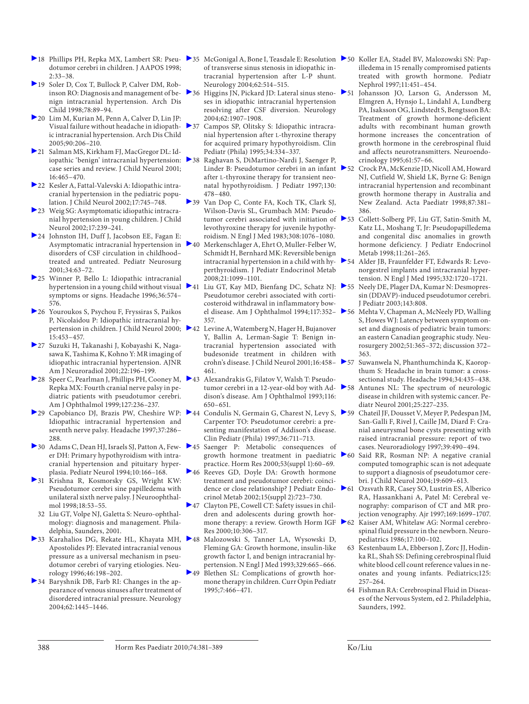- dotumor cerebri in children. J AAPOS 1998; 2:33–38.
- 19 Soler D, Cox T, Bullock P, Calver DM, Robinson RO: Diagnosis and management of benign intracranial hypertension. Arch Dis Child 1998;78:89–94.
- 20 Lim M, Kurian M, Penn A, Calver D, Lin JP: Visual failure without headache in idiopathic intracranial hypertension. Arch Dis Child 2005;90:206–210.
- 21 Salman MS, Kirkham FJ, MacGregor DL: Idiopathic 'benign' intracranial hypertension: > 38 case series and review. J Child Neurol 2001; 16:465–470.
- 22 Kesler A, Fattal-Valevski A: Idiopathic intracranial hypertension in the pediatric population. J Child Neurol 2002;17:745–748.
- 23 Weig SG: Asymptomatic idiopathic intracranial hypertension in young children. J Child Neurol 2002;17:239–241.
- 24 Johnston IH, Duff J, Jacobson EE, Fagan E: Asymptomatic intracranial hypertension in disorders of CSF circulation in childhood– treated and untreated. Pediatr Neurosurg 2001;34:63–72.
- 25 Winner P, Bello L: Idiopathic intracranial hypertension in a young child without visual  $\geq 41$ symptoms or signs. Headache 1996;36:574– 576.
- 26 Youroukos S, Psychou F, Fryssiras S, Paikos P, Nicolaidou P: Idiopathic intracranial hypertension in children. J Child Neurol 2000; 242 15:453–457.
- 27 Suzuki H, Takanashi J, Kobayashi K, Nagasawa K, Tashima K, Kohno Y: MR imaging of idiopathic intracranial hypertension. AJNR Am J Neuroradiol 2001;22:196–199.
- 28 Speer C, Pearlman J, Phillips PH, Cooney M, 43 Alexandrakis G, Filatov V, Walsh T: Pseudo-Repka MX: Fourth cranial nerve palsy in pediatric patients with pseudotumor cerebri. Am J Ophthalmol 1999;127:236–237.
- ▶ 29 Capobianco DJ, Brazis PW, Cheshire WP: ▶ 44 Idiopathic intracranial hypertension and seventh nerve palsy. Headache 1997;37:286– 288.
- er DH: Primary hypothyroidism with intracranial hypertension and pituitary hyperplasia. Pediatr Neurol 1994;10:166–168.
- 31 Krishna R, Kosmorsky GS, Wright KW: Pseudotumor cerebri sine papilledema with unilateral sixth nerve palsy. J Neuroophthalmol 1998;18:53–55.
- 32 Liu GT, Volpe NJ, Galetta S: Neuro-ophthalmology: diagnosis and management. Philadelphia, Saunders, 2001.
- ▶ 33 Karahalios DG, Rekate HL, Khayata MH, ▶ 48 Apostolides PJ: Elevated intracranial venous pressure as a universal mechanism in pseudotumor cerebri of varying etiologies. Neurology 1996;46:198–202.
- 34 Baryshnik DB, Farb RI: Changes in the appearance of venous sinuses after treatment of disordered intracranial pressure. Neurology 2004;62:1445–1446.
- 18 Phillips PH, Repka MX, Lambert SR: Pseu- ▶35 McGonigal A, Bone I, Teasdale E: Resolution ▶50 Koller EA, Stadel BV, Malozowski SN: Papof transverse sinus stenosis in idiopathic intracranial hypertension after L-P shunt. Neurology 2004;62:514–515.
	- ▶ 36 Higgins JN, Pickard JD: Lateral sinus steno- ▶ 51 ses in idiopathic intracranial hypertension resolving after CSF diversion. Neurology 2004;62:1907–1908.
	- 37 Campos SP, Olitsky S: Idiopathic intracranial hypertension after L -thyroxine therapy for acquired primary hypothyroidism. Clin Pediatr (Phila) 1995;34:334–337.
	- Raghavan S, DiMartino-Nardi J, Saenger P, Linder B: Pseudotumor cerebri in an infant > 52 after L-thyroxine therapy for transient neonatal hypothyroidism. J Pediatr 1997;130: 478–480.
	- 39 Van Dop C, Conte FA, Koch TK, Clark SJ, Wilson-Davis SL, Grumbach MM: Pseudotumor cerebri associated with initiation of  $\blacktriangleright$  53 levothyroxine therapy for juvenile hypothyroidism. N Engl J Med 1983;308:1076–1080.
	- Merkenschlager A, Ehrt O, Muller-Felber W, Schmidt H, Bernhard MK: Reversible benign intracranial hypertension in a child with hyperthyroidism. J Pediatr Endocrinol Metab 2008;21:1099–1101.
	- 41 Liu GT, Kay MD, Bienfang DC, Schatz NJ: 55 Neely DE, Plager DA, Kumar N: Desmopres-Pseudotumor cerebri associated with corticosteroid withdrawal in inflammatory bow-357.
	- Levine A, Watemberg N, Hager H, Bujanover Y, Ballin A, Lerman-Sagie T: Benign intracranial hypertension associated with budesonide treatment in children with crohn's disease. J Child Neurol 2001;16:458– 461.
	- dison's disease. Am J Ophthalmol 1993;116: 650–651.
	- Condulis N, Germain G, Charest N, Levy S,  $\triangleright$  59 Carpenter TO: Pseudotumor cerebri: a presenting manifestation of Addison's disease. Clin Pediatr (Phila) 1997;36:711–713.
- 30 Adams C, Dean HJ, Israels SJ, Patton A, Few- 45 Saenger P: Metabolic consequences of growth hormone treatment in paediatric practice. Horm Res 2000;53(suppl 1):60–69.
	- 46 Reeves GD, Doyle DA: Growth hormone treatment and pseudotumor cerebri: coincidence or close relationship? J Pediatr Endocrinol Metab 2002;15(suppl 2):723–730.
	- <sup>2</sup>47 Clayton PE, Cowell CT: Safety issues in children and adolescents during growth hor-Res 2000;10:306–317.
	- 48 Malozowski S, Tanner LA, Wysowski D, Fleming GA: Growth hormone, insulin-like growth factor I, and benign intracranial hypertension. N Engl J Med 1993;329:665–666.
	- 49 Blethen SL: Complications of growth hormone therapy in children. Curr Opin Pediatr 1995;7:466–471.
- illedema in 15 renally compromised patients treated with growth hormone. Pediatr Nephrol 1997;11:451–454.
- Johansson JO, Larson G, Andersson M, Elmgren A, Hynsjo L, Lindahl A, Lundberg PA, Isaksson OG, Lindstedt S, Bengtsson BA: Treatment of growth hormone-deficient adults with recombinant human growth hormone increases the concentration of growth hormone in the cerebrospinal fluid and affects neurotransmitters. Neuroendocrinology 1995;61:57–66.
- 52 Crock PA, McKenzie JD, Nicoll AM, Howard NJ, Cutfield W, Shield LK, Byrne G: Benign intracranial hypertension and recombinant growth hormone therapy in Australia and New Zealand. Acta Paediatr 1998;87:381– 386.
- 53 Collett-Solberg PF, Liu GT, Satin-Smith M, Katz LL, Moshang T, Jr: Pseudopapilledema and congenital disc anomalies in growth hormone deficiency. J Pediatr Endocrinol Metab 1998;11:261–265.
- 54 Alder JB, Fraunfelder FT, Edwards R: Levonorgestrel implants and intracranial hypertension. N Engl J Med 1995;332:1720–1721.
	- sin (DDAVP)-induced pseudotumor cerebri. J Pediatr 2003;143:808.
- el disease. Am J Ophthalmol 1994;117:352– 56 Mehta V, Chapman A, McNeely PD, Walling S, Howes WJ: Latency between symptom onset and diagnosis of pediatric brain tumors: an eastern Canadian geographic study. Neurosurgery 2002;51:365–372; discussion 372– 363.
	- Suwanwela N, Phanthumchinda K, Kaoropthum S: Headache in brain tumor: a crosssectional study. Headache 1994;34:435–438.
- tumor cerebri in a 12-year-old boy with Ad- 58 Antunes NL: The spectrum of neurologic disease in children with systemic cancer. Pediatr Neurol 2001;25:227–235.
	- 59 Chateil JF, Dousset V, Meyer P, Pedespan JM, San-Galli F, Rivel J, Caille JM, Diard F: Cranial aneurysmal bone cysts presenting with raised intracranial pressure: report of two cases. Neuroradiology 1997;39:490–494.
	- Said RR, Rosman NP: A negative cranial computed tomographic scan is not adequate to support a diagnosis of pseudotumor cerebri. J Child Neurol 2004;19:609–613.
	- 61 Ozsvath RR, Casey SO, Lustrin ES, Alberico RA, Hassankhani A, Patel M: Cerebral venography: comparison of CT and MR projection venography. Ajr 1997;169:1699–1707.
- mone therapy: a review. Growth Horm IGF > 62 Kaiser AM, Whitelaw AG: Normal cerebrospinal fluid pressure in the newborn. Neuropediatrics 1986;17:100–102.
	- 63 Kestenbaum LA, Ebberson J, Zorc JJ, Hodinka RL, Shah SS: Defining cerebrospinal fluid white blood cell count reference values in neonates and young infants. Pediatrics;125: 257–264.
	- 64 Fishman RA: Cerebrospinal Fluid in Diseases of the Nervous System, ed 2. Philadelphia, Saunders, 1992.